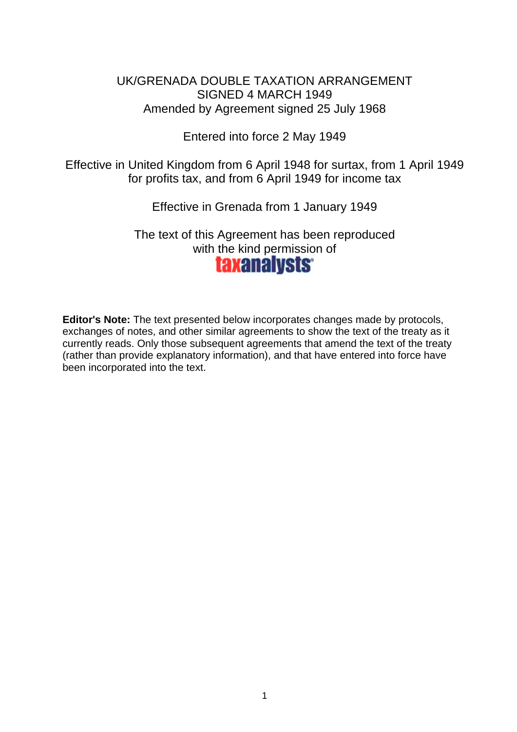# UK/GRENADA DOUBLE TAXATION ARRANGEMENT SIGNED 4 MARCH 1949 Amended by Agreement signed 25 July 1968

Entered into force 2 May 1949

Effective in United Kingdom from 6 April 1948 for surtax, from 1 April 1949 for profits tax, and from 6 April 1949 for income tax

Effective in Grenada from 1 January 1949

The text of this Agreement has been reproduced with the kind permission of<br> **LAXANAIYSTS** 



**Editor's Note:** The text presented below incorporates changes made by protocols, exchanges of notes, and other similar agreements to show the text of the treaty as it currently reads. Only those subsequent agreements that amend the text of the treaty (rather than provide explanatory information), and that have entered into force have been incorporated into the text.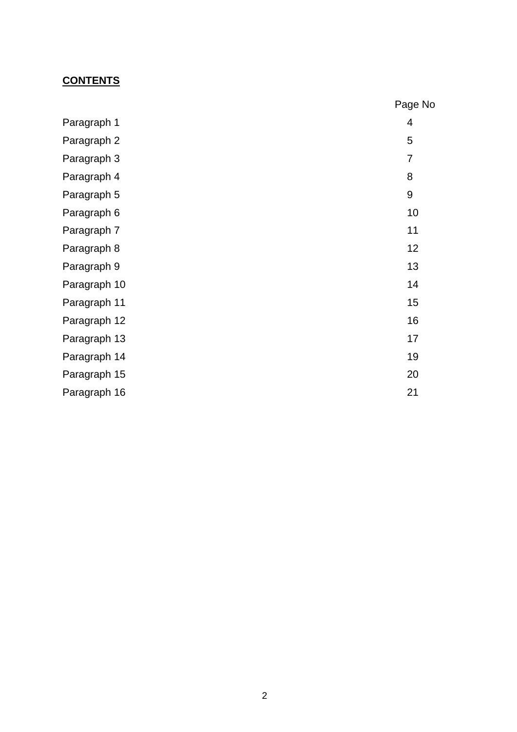# **CONTENTS**

|              | Page No        |
|--------------|----------------|
| Paragraph 1  | $\overline{4}$ |
| Paragraph 2  | 5              |
| Paragraph 3  | $\overline{7}$ |
| Paragraph 4  | 8              |
| Paragraph 5  | $\mathsf 9$    |
| Paragraph 6  | 10             |
| Paragraph 7  | 11             |
| Paragraph 8  | 12             |
| Paragraph 9  | 13             |
| Paragraph 10 | 14             |
| Paragraph 11 | 15             |
| Paragraph 12 | 16             |
| Paragraph 13 | 17             |
| Paragraph 14 | 19             |
| Paragraph 15 | 20             |
| Paragraph 16 | 21             |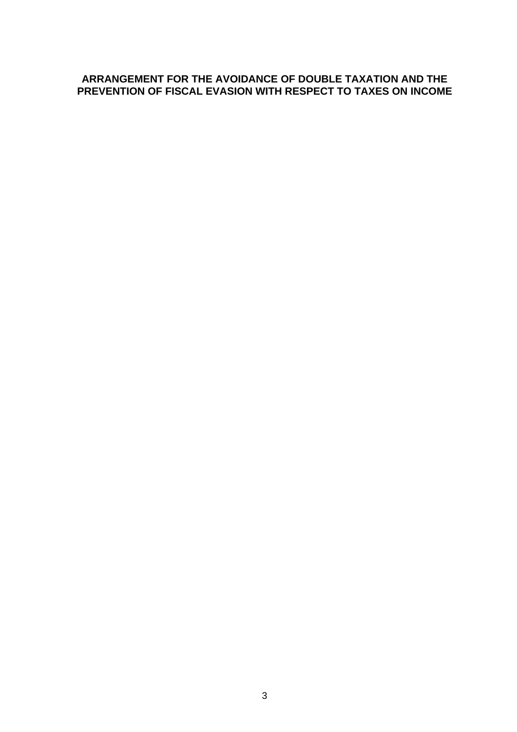#### **ARRANGEMENT FOR THE AVOIDANCE OF DOUBLE TAXATION AND THE PREVENTION OF FISCAL EVASION WITH RESPECT TO TAXES ON INCOME**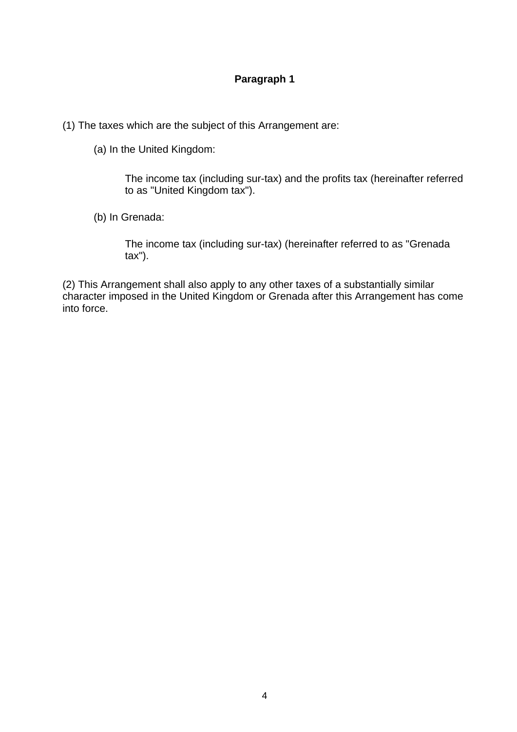(1) The taxes which are the subject of this Arrangement are:

(a) In the United Kingdom:

The income tax (including sur-tax) and the profits tax (hereinafter referred to as "United Kingdom tax").

(b) In Grenada:

The income tax (including sur-tax) (hereinafter referred to as "Grenada tax").

(2) This Arrangement shall also apply to any other taxes of a substantially similar character imposed in the United Kingdom or Grenada after this Arrangement has come into force.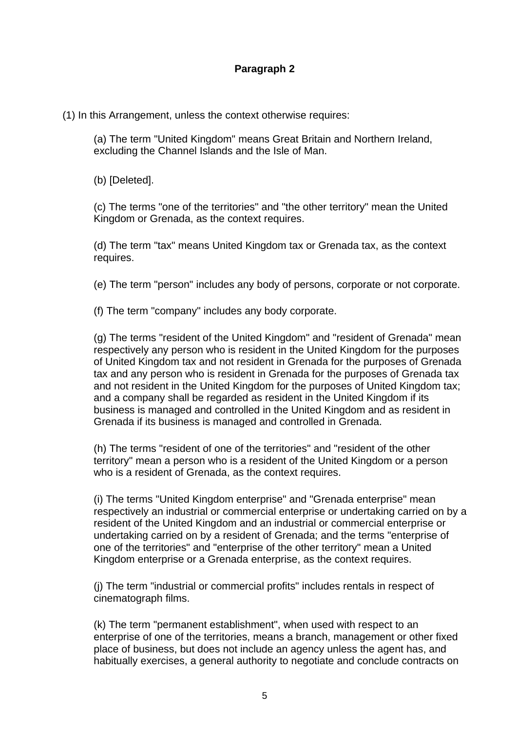(1) In this Arrangement, unless the context otherwise requires:

(a) The term "United Kingdom" means Great Britain and Northern Ireland, excluding the Channel Islands and the Isle of Man.

(b) [Deleted].

(c) The terms "one of the territories" and "the other territory" mean the United Kingdom or Grenada, as the context requires.

(d) The term "tax" means United Kingdom tax or Grenada tax, as the context requires.

(e) The term "person" includes any body of persons, corporate or not corporate.

(f) The term "company" includes any body corporate.

(g) The terms "resident of the United Kingdom" and "resident of Grenada" mean respectively any person who is resident in the United Kingdom for the purposes of United Kingdom tax and not resident in Grenada for the purposes of Grenada tax and any person who is resident in Grenada for the purposes of Grenada tax and not resident in the United Kingdom for the purposes of United Kingdom tax; and a company shall be regarded as resident in the United Kingdom if its business is managed and controlled in the United Kingdom and as resident in Grenada if its business is managed and controlled in Grenada.

(h) The terms "resident of one of the territories" and "resident of the other territory" mean a person who is a resident of the United Kingdom or a person who is a resident of Grenada, as the context requires.

(i) The terms "United Kingdom enterprise" and "Grenada enterprise" mean respectively an industrial or commercial enterprise or undertaking carried on by a resident of the United Kingdom and an industrial or commercial enterprise or undertaking carried on by a resident of Grenada; and the terms "enterprise of one of the territories" and "enterprise of the other territory" mean a United Kingdom enterprise or a Grenada enterprise, as the context requires.

(j) The term "industrial or commercial profits" includes rentals in respect of cinematograph films.

(k) The term "permanent establishment", when used with respect to an enterprise of one of the territories, means a branch, management or other fixed place of business, but does not include an agency unless the agent has, and habitually exercises, a general authority to negotiate and conclude contracts on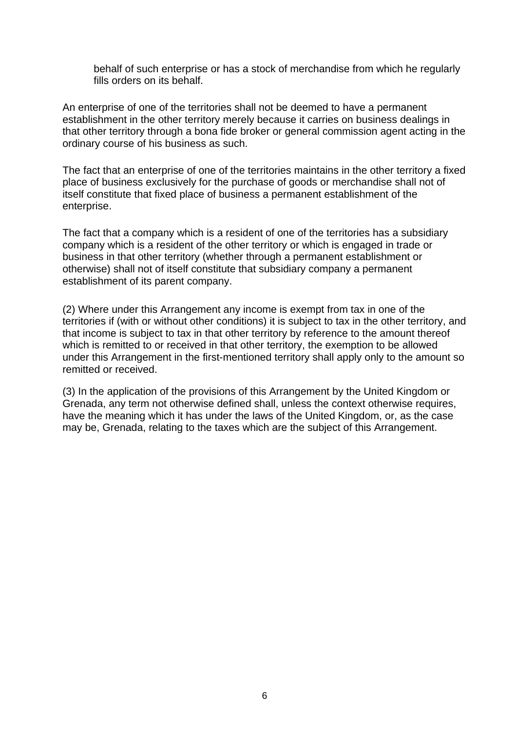behalf of such enterprise or has a stock of merchandise from which he regularly fills orders on its behalf.

An enterprise of one of the territories shall not be deemed to have a permanent establishment in the other territory merely because it carries on business dealings in that other territory through a bona fide broker or general commission agent acting in the ordinary course of his business as such.

The fact that an enterprise of one of the territories maintains in the other territory a fixed place of business exclusively for the purchase of goods or merchandise shall not of itself constitute that fixed place of business a permanent establishment of the enterprise.

The fact that a company which is a resident of one of the territories has a subsidiary company which is a resident of the other territory or which is engaged in trade or business in that other territory (whether through a permanent establishment or otherwise) shall not of itself constitute that subsidiary company a permanent establishment of its parent company.

(2) Where under this Arrangement any income is exempt from tax in one of the territories if (with or without other conditions) it is subject to tax in the other territory, and that income is subject to tax in that other territory by reference to the amount thereof which is remitted to or received in that other territory, the exemption to be allowed under this Arrangement in the first-mentioned territory shall apply only to the amount so remitted or received.

(3) In the application of the provisions of this Arrangement by the United Kingdom or Grenada, any term not otherwise defined shall, unless the context otherwise requires, have the meaning which it has under the laws of the United Kingdom, or, as the case may be, Grenada, relating to the taxes which are the subject of this Arrangement.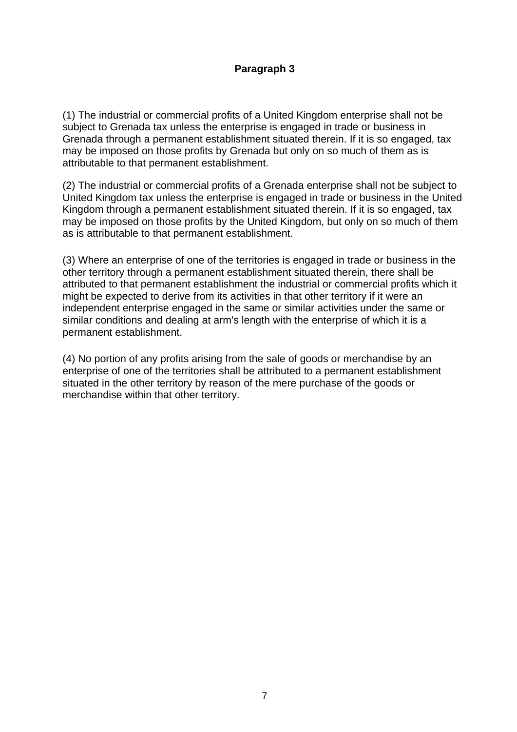(1) The industrial or commercial profits of a United Kingdom enterprise shall not be subject to Grenada tax unless the enterprise is engaged in trade or business in Grenada through a permanent establishment situated therein. If it is so engaged, tax may be imposed on those profits by Grenada but only on so much of them as is attributable to that permanent establishment.

(2) The industrial or commercial profits of a Grenada enterprise shall not be subject to United Kingdom tax unless the enterprise is engaged in trade or business in the United Kingdom through a permanent establishment situated therein. If it is so engaged, tax may be imposed on those profits by the United Kingdom, but only on so much of them as is attributable to that permanent establishment.

(3) Where an enterprise of one of the territories is engaged in trade or business in the other territory through a permanent establishment situated therein, there shall be attributed to that permanent establishment the industrial or commercial profits which it might be expected to derive from its activities in that other territory if it were an independent enterprise engaged in the same or similar activities under the same or similar conditions and dealing at arm's length with the enterprise of which it is a permanent establishment.

(4) No portion of any profits arising from the sale of goods or merchandise by an enterprise of one of the territories shall be attributed to a permanent establishment situated in the other territory by reason of the mere purchase of the goods or merchandise within that other territory.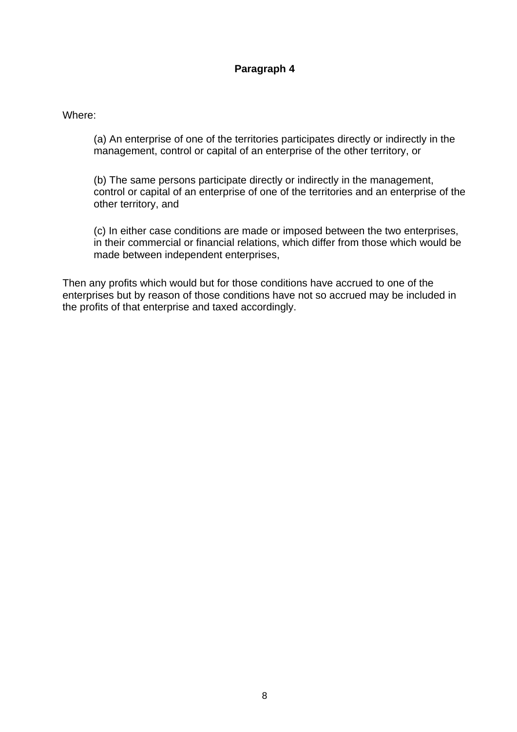#### Where:

(a) An enterprise of one of the territories participates directly or indirectly in the management, control or capital of an enterprise of the other territory, or

(b) The same persons participate directly or indirectly in the management, control or capital of an enterprise of one of the territories and an enterprise of the other territory, and

(c) In either case conditions are made or imposed between the two enterprises, in their commercial or financial relations, which differ from those which would be made between independent enterprises,

Then any profits which would but for those conditions have accrued to one of the enterprises but by reason of those conditions have not so accrued may be included in the profits of that enterprise and taxed accordingly.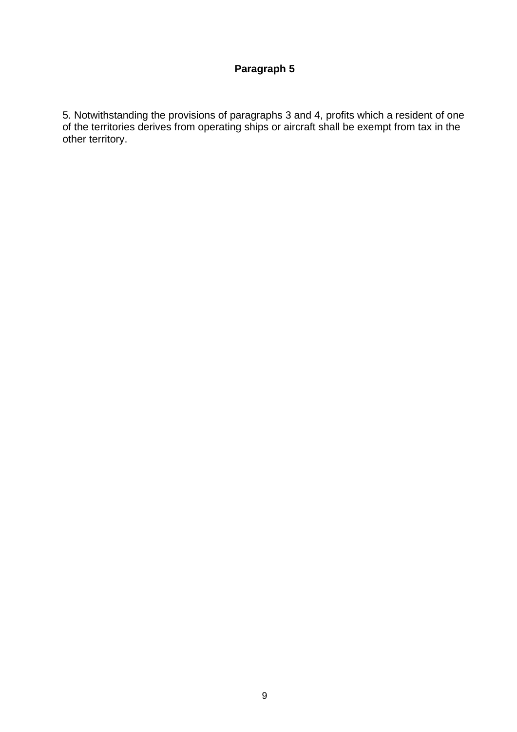5. Notwithstanding the provisions of paragraphs 3 and 4, profits which a resident of one of the territories derives from operating ships or aircraft shall be exempt from tax in the other territory.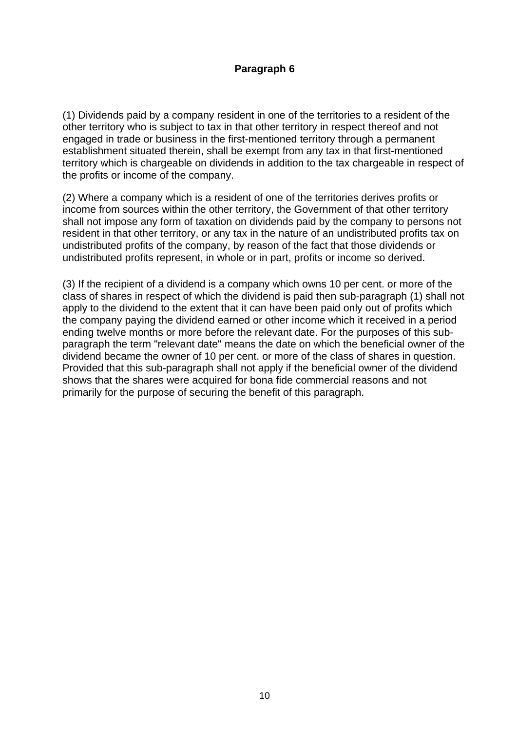(1) Dividends paid by a company resident in one of the territories to a resident of the other territory who is subject to tax in that other territory in respect thereof and not engaged in trade or business in the first-mentioned territory through a permanent establishment situated therein, shall be exempt from any tax in that first-mentioned territory which is chargeable on dividends in addition to the tax chargeable in respect of the profits or income of the company.

(2) Where a company which is a resident of one of the territories derives profits or income from sources within the other territory, the Government of that other territory shall not impose any form of taxation on dividends paid by the company to persons not resident in that other territory, or any tax in the nature of an undistributed profits tax on undistributed profits of the company, by reason of the fact that those dividends or undistributed profits represent, in whole or in part, profits or income so derived.

(3) If the recipient of a dividend is a company which owns 10 per cent. or more of the class of shares in respect of which the dividend is paid then sub-paragraph (1) shall not apply to the dividend to the extent that it can have been paid only out of profits which the company paying the dividend earned or other income which it received in a period ending twelve months or more before the relevant date. For the purposes of this subparagraph the term "relevant date" means the date on which the beneficial owner of the dividend became the owner of 10 per cent. or more of the class of shares in question. Provided that this sub-paragraph shall not apply if the beneficial owner of the dividend shows that the shares were acquired for bona fide commercial reasons and not primarily for the purpose of securing the benefit of this paragraph.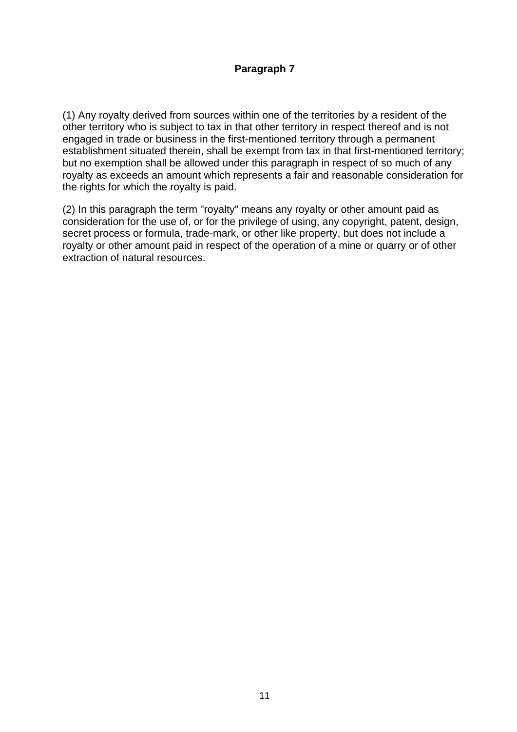(1) Any royalty derived from sources within one of the territories by a resident of the other territory who is subject to tax in that other territory in respect thereof and is not engaged in trade or business in the first-mentioned territory through a permanent establishment situated therein, shall be exempt from tax in that first-mentioned territory; but no exemption shall be allowed under this paragraph in respect of so much of any royalty as exceeds an amount which represents a fair and reasonable consideration for the rights for which the royalty is paid.

(2) In this paragraph the term "royalty" means any royalty or other amount paid as consideration for the use of, or for the privilege of using, any copyright, patent, design, secret process or formula, trade-mark, or other like property, but does not include a royalty or other amount paid in respect of the operation of a mine or quarry or of other extraction of natural resources.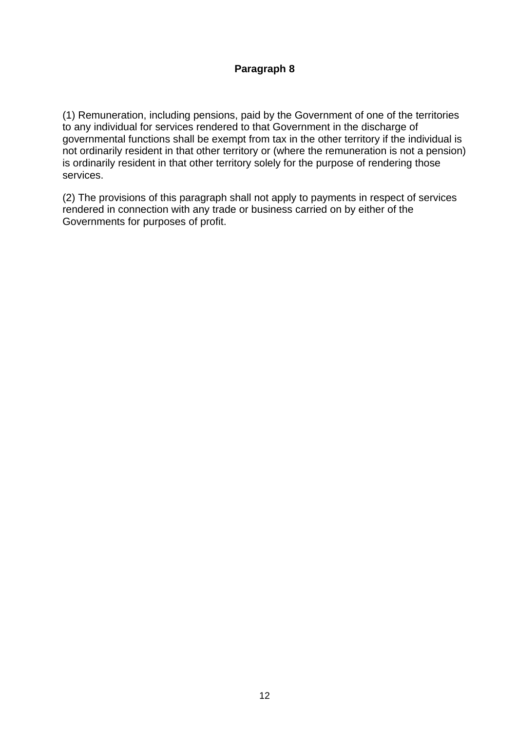(1) Remuneration, including pensions, paid by the Government of one of the territories to any individual for services rendered to that Government in the discharge of governmental functions shall be exempt from tax in the other territory if the individual is not ordinarily resident in that other territory or (where the remuneration is not a pension) is ordinarily resident in that other territory solely for the purpose of rendering those services.

(2) The provisions of this paragraph shall not apply to payments in respect of services rendered in connection with any trade or business carried on by either of the Governments for purposes of profit.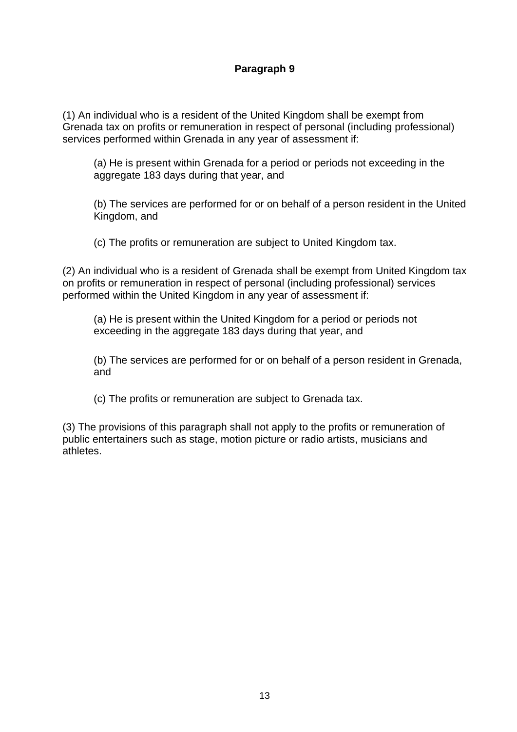(1) An individual who is a resident of the United Kingdom shall be exempt from Grenada tax on profits or remuneration in respect of personal (including professional) services performed within Grenada in any year of assessment if:

(a) He is present within Grenada for a period or periods not exceeding in the aggregate 183 days during that year, and

(b) The services are performed for or on behalf of a person resident in the United Kingdom, and

(c) The profits or remuneration are subject to United Kingdom tax.

(2) An individual who is a resident of Grenada shall be exempt from United Kingdom tax on profits or remuneration in respect of personal (including professional) services performed within the United Kingdom in any year of assessment if:

(a) He is present within the United Kingdom for a period or periods not exceeding in the aggregate 183 days during that year, and

(b) The services are performed for or on behalf of a person resident in Grenada, and

(c) The profits or remuneration are subject to Grenada tax.

(3) The provisions of this paragraph shall not apply to the profits or remuneration of public entertainers such as stage, motion picture or radio artists, musicians and athletes.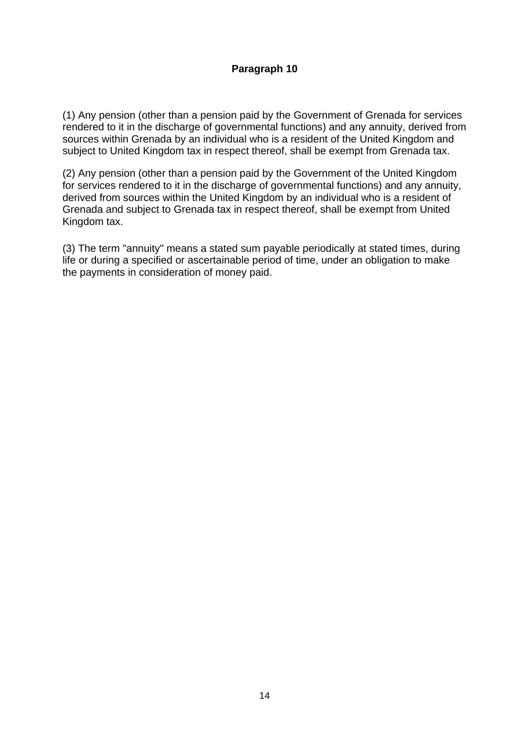(1) Any pension (other than a pension paid by the Government of Grenada for services rendered to it in the discharge of governmental functions) and any annuity, derived from sources within Grenada by an individual who is a resident of the United Kingdom and subject to United Kingdom tax in respect thereof, shall be exempt from Grenada tax.

(2) Any pension (other than a pension paid by the Government of the United Kingdom for services rendered to it in the discharge of governmental functions) and any annuity, derived from sources within the United Kingdom by an individual who is a resident of Grenada and subject to Grenada tax in respect thereof, shall be exempt from United Kingdom tax.

(3) The term "annuity" means a stated sum payable periodically at stated times, during life or during a specified or ascertainable period of time, under an obligation to make the payments in consideration of money paid.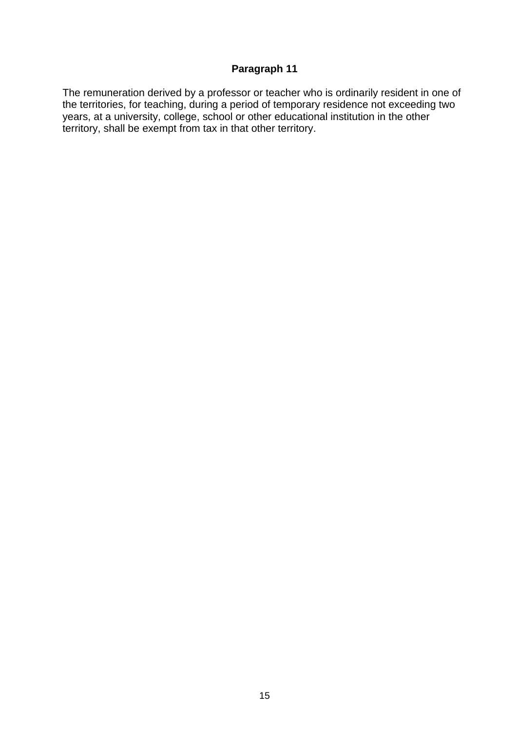The remuneration derived by a professor or teacher who is ordinarily resident in one of the territories, for teaching, during a period of temporary residence not exceeding two years, at a university, college, school or other educational institution in the other territory, shall be exempt from tax in that other territory.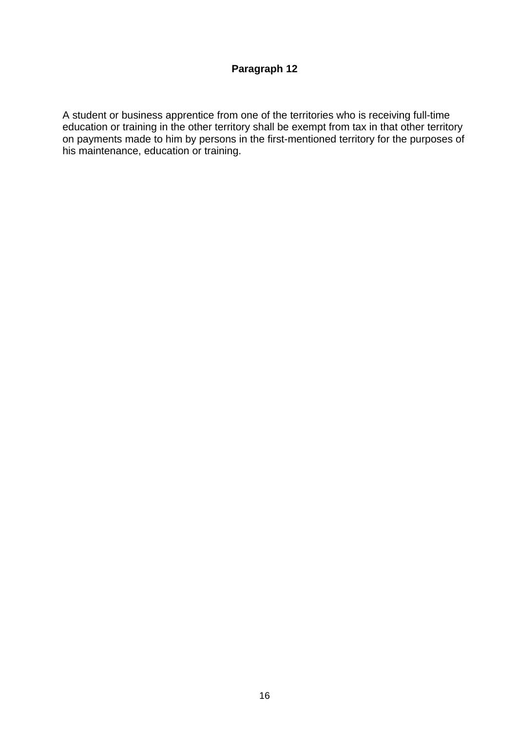A student or business apprentice from one of the territories who is receiving full-time education or training in the other territory shall be exempt from tax in that other territory on payments made to him by persons in the first-mentioned territory for the purposes of his maintenance, education or training.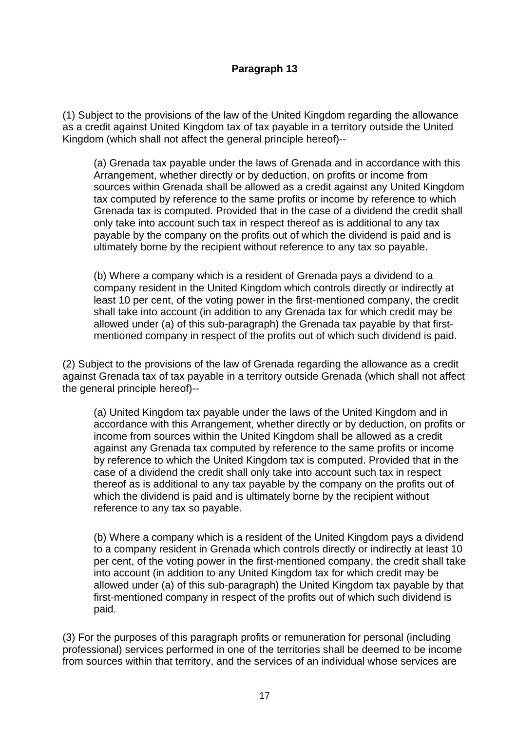(1) Subject to the provisions of the law of the United Kingdom regarding the allowance as a credit against United Kingdom tax of tax payable in a territory outside the United Kingdom (which shall not affect the general principle hereof)--

(a) Grenada tax payable under the laws of Grenada and in accordance with this Arrangement, whether directly or by deduction, on profits or income from sources within Grenada shall be allowed as a credit against any United Kingdom tax computed by reference to the same profits or income by reference to which Grenada tax is computed. Provided that in the case of a dividend the credit shall only take into account such tax in respect thereof as is additional to any tax payable by the company on the profits out of which the dividend is paid and is ultimately borne by the recipient without reference to any tax so payable.

(b) Where a company which is a resident of Grenada pays a dividend to a company resident in the United Kingdom which controls directly or indirectly at least 10 per cent, of the voting power in the first-mentioned company, the credit shall take into account (in addition to any Grenada tax for which credit may be allowed under (a) of this sub-paragraph) the Grenada tax payable by that firstmentioned company in respect of the profits out of which such dividend is paid.

(2) Subject to the provisions of the law of Grenada regarding the allowance as a credit against Grenada tax of tax payable in a territory outside Grenada (which shall not affect the general principle hereof)--

(a) United Kingdom tax payable under the laws of the United Kingdom and in accordance with this Arrangement, whether directly or by deduction, on profits or income from sources within the United Kingdom shall be allowed as a credit against any Grenada tax computed by reference to the same profits or income by reference to which the United Kingdom tax is computed. Provided that in the case of a dividend the credit shall only take into account such tax in respect thereof as is additional to any tax payable by the company on the profits out of which the dividend is paid and is ultimately borne by the recipient without reference to any tax so payable.

(b) Where a company which is a resident of the United Kingdom pays a dividend to a company resident in Grenada which controls directly or indirectly at least 10 per cent, of the voting power in the first-mentioned company, the credit shall take into account (in addition to any United Kingdom tax for which credit may be allowed under (a) of this sub-paragraph) the United Kingdom tax payable by that first-mentioned company in respect of the profits out of which such dividend is paid.

(3) For the purposes of this paragraph profits or remuneration for personal (including professional) services performed in one of the territories shall be deemed to be income from sources within that territory, and the services of an individual whose services are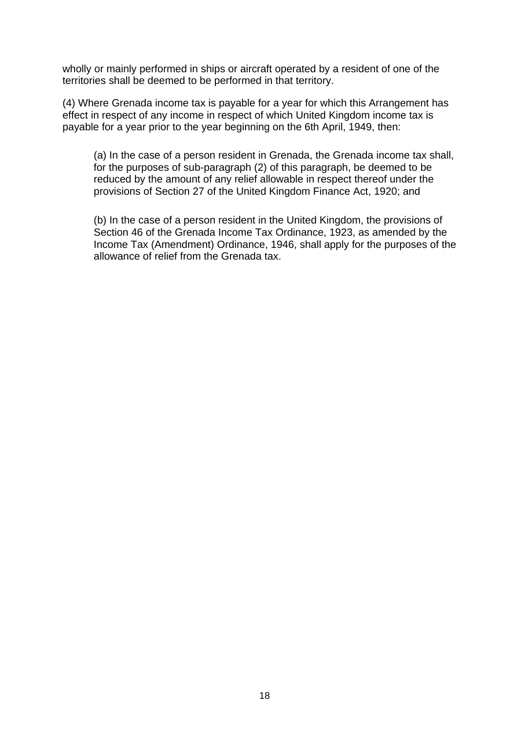wholly or mainly performed in ships or aircraft operated by a resident of one of the territories shall be deemed to be performed in that territory.

(4) Where Grenada income tax is payable for a year for which this Arrangement has effect in respect of any income in respect of which United Kingdom income tax is payable for a year prior to the year beginning on the 6th April, 1949, then:

(a) In the case of a person resident in Grenada, the Grenada income tax shall, for the purposes of sub-paragraph (2) of this paragraph, be deemed to be reduced by the amount of any relief allowable in respect thereof under the provisions of Section 27 of the United Kingdom Finance Act, 1920; and

(b) In the case of a person resident in the United Kingdom, the provisions of Section 46 of the Grenada Income Tax Ordinance, 1923, as amended by the Income Tax (Amendment) Ordinance, 1946, shall apply for the purposes of the allowance of relief from the Grenada tax.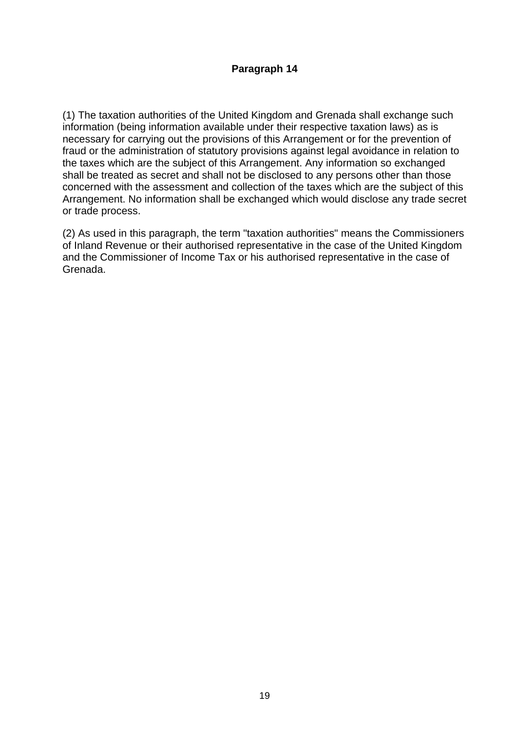(1) The taxation authorities of the United Kingdom and Grenada shall exchange such information (being information available under their respective taxation laws) as is necessary for carrying out the provisions of this Arrangement or for the prevention of fraud or the administration of statutory provisions against legal avoidance in relation to the taxes which are the subject of this Arrangement. Any information so exchanged shall be treated as secret and shall not be disclosed to any persons other than those concerned with the assessment and collection of the taxes which are the subject of this Arrangement. No information shall be exchanged which would disclose any trade secret or trade process.

(2) As used in this paragraph, the term "taxation authorities" means the Commissioners of Inland Revenue or their authorised representative in the case of the United Kingdom and the Commissioner of Income Tax or his authorised representative in the case of Grenada.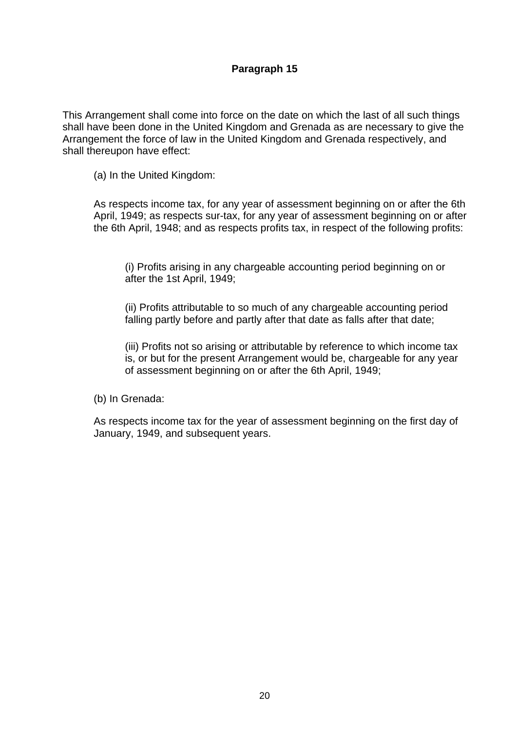This Arrangement shall come into force on the date on which the last of all such things shall have been done in the United Kingdom and Grenada as are necessary to give the Arrangement the force of law in the United Kingdom and Grenada respectively, and shall thereupon have effect:

(a) In the United Kingdom:

As respects income tax, for any year of assessment beginning on or after the 6th April, 1949; as respects sur-tax, for any year of assessment beginning on or after the 6th April, 1948; and as respects profits tax, in respect of the following profits:

(i) Profits arising in any chargeable accounting period beginning on or after the 1st April, 1949;

(ii) Profits attributable to so much of any chargeable accounting period falling partly before and partly after that date as falls after that date;

(iii) Profits not so arising or attributable by reference to which income tax is, or but for the present Arrangement would be, chargeable for any year of assessment beginning on or after the 6th April, 1949;

(b) In Grenada:

As respects income tax for the year of assessment beginning on the first day of January, 1949, and subsequent years.